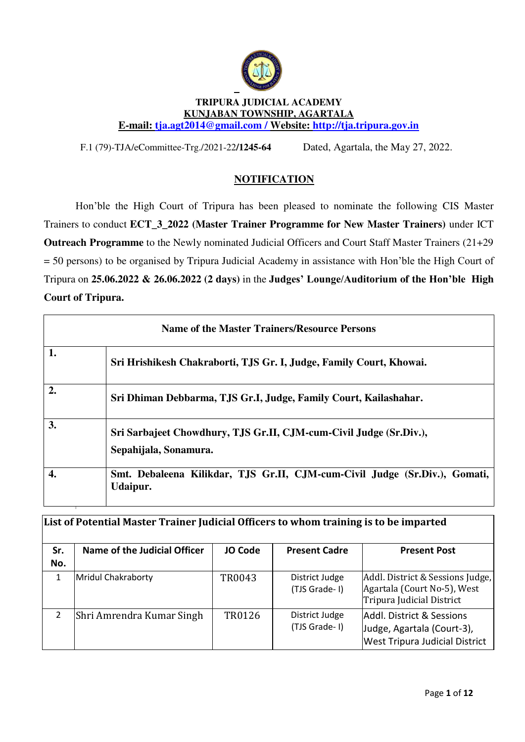

#### **TRIPURA JUDICIAL ACADEMY KUNJABAN TOWNSHIP, AGARTALA E-mail: [tja.agt2014@gmail.com](mailto:tja.agt2014@gmail.com) / Website: [http://tja.tripura.gov.in](http://tja.tripura.gov.in/)**

F.1 (79)-TJA/eCommittee-Trg./2021-22**/1245-64**8 Dated, Agartala, the May 27, 2022.

## **NOTIFICATION**

Hon'ble the High Court of Tripura has been pleased to nominate the following CIS Master Trainers to conduct **ECT\_3\_2022 (Master Trainer Programme for New Master Trainers)** under ICT **Outreach Programme** to the Newly nominated Judicial Officers and Court Staff Master Trainers (21+29 = 50 persons) to be organised by Tripura Judicial Academy in assistance with Hon'ble the High Court of Tripura on **25.06.2022 & 26.06.2022 (2 days)** in the **Judges' Lounge/Auditorium of the Hon'ble High Court of Tripura.** 

|                  | <b>Name of the Master Trainers/Resource Persons</b>                                         |  |  |  |  |  |
|------------------|---------------------------------------------------------------------------------------------|--|--|--|--|--|
| 1.               | Sri Hrishikesh Chakraborti, TJS Gr. I, Judge, Family Court, Khowai.                         |  |  |  |  |  |
| $\overline{2}$ . | Sri Dhiman Debbarma, TJS Gr.I, Judge, Family Court, Kailashahar.                            |  |  |  |  |  |
| 3.               | Sri Sarbajeet Chowdhury, TJS Gr.II, CJM-cum-Civil Judge (Sr.Div.),<br>Sepahijala, Sonamura. |  |  |  |  |  |
| 4.               | Smt. Debaleena Kilikdar, TJS Gr.II, CJM-cum-Civil Judge (Sr.Div.), Gomati,<br>Udaipur.      |  |  |  |  |  |

|            | List of Potential Master Trainer Judicial Officers to whom training is to be imparted |                |                                 |                                                                                                   |  |  |  |
|------------|---------------------------------------------------------------------------------------|----------------|---------------------------------|---------------------------------------------------------------------------------------------------|--|--|--|
| Sr.<br>No. | Name of the Judicial Officer                                                          | <b>JO Code</b> | <b>Present Cadre</b>            | <b>Present Post</b>                                                                               |  |  |  |
| 1          | <b>Mridul Chakraborty</b>                                                             | TR0043         | District Judge<br>(TJS Grade-I) | Addl. District & Sessions Judge,<br>Agartala (Court No-5), West<br>Tripura Judicial District      |  |  |  |
| 2          | Shri Amrendra Kumar Singh                                                             | TR0126         | District Judge<br>(TJS Grade-I) | Addl. District & Sessions <br>Judge, Agartala (Court-3),<br><b>West Tripura Judicial District</b> |  |  |  |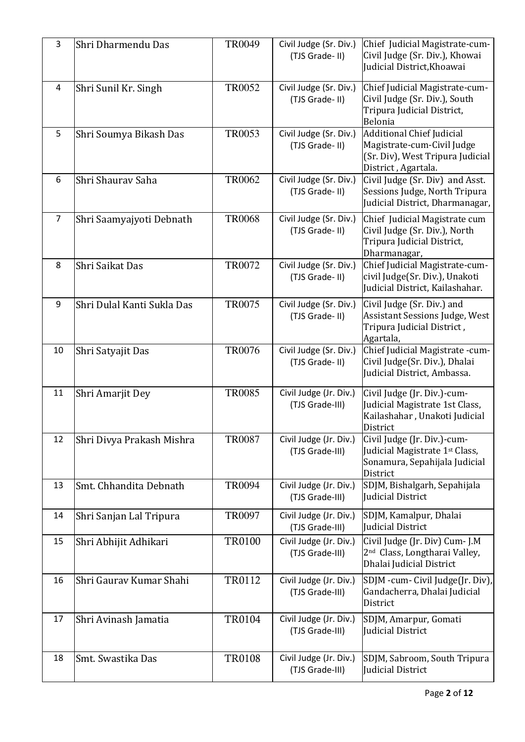| 3  | Shri Dharmendu Das         | <b>TR0049</b>                                             | Civil Judge (Sr. Div.)<br>(TJS Grade-II)  | Chief Judicial Magistrate-cum-<br>Civil Judge (Sr. Div.), Khowai<br>Judicial District, Khoawai                     |
|----|----------------------------|-----------------------------------------------------------|-------------------------------------------|--------------------------------------------------------------------------------------------------------------------|
| 4  | Shri Sunil Kr. Singh       | <b>TR0052</b><br>Civil Judge (Sr. Div.)<br>(TJS Grade-II) |                                           | Chief Judicial Magistrate-cum-<br>Civil Judge (Sr. Div.), South<br>Tripura Judicial District,<br>Belonia           |
| 5  | Shri Soumya Bikash Das     | <b>TR0053</b>                                             | Civil Judge (Sr. Div.)<br>(TJS Grade-II)  | Additional Chief Judicial<br>Magistrate-cum-Civil Judge<br>(Sr. Div), West Tripura Judicial<br>District, Agartala. |
| 6  | Shri Shaurav Saha          | <b>TR0062</b>                                             | Civil Judge (Sr. Div.)<br>(TJS Grade-II)  | Civil Judge (Sr. Div) and Asst.<br>Sessions Judge, North Tripura<br>Judicial District, Dharmanagar,                |
| 7  | Shri Saamyajyoti Debnath   | <b>TR0068</b>                                             | Civil Judge (Sr. Div.)<br>(TJS Grade-II)  | Chief Judicial Magistrate cum<br>Civil Judge (Sr. Div.), North<br>Tripura Judicial District,<br>Dharmanagar,       |
| 8  | Shri Saikat Das            | TR0072                                                    | Civil Judge (Sr. Div.)<br>(TJS Grade-II)  | Chief Judicial Magistrate-cum-<br>civil Judge(Sr. Div.), Unakoti<br>Judicial District, Kailashahar.                |
| 9  | Shri Dulal Kanti Sukla Das | <b>TR0075</b>                                             | Civil Judge (Sr. Div.)<br>(TJS Grade-II)  | Civil Judge (Sr. Div.) and<br><b>Assistant Sessions Judge, West</b><br>Tripura Judicial District,<br>Agartala,     |
| 10 | Shri Satyajit Das          | <b>TR0076</b>                                             | Civil Judge (Sr. Div.)<br>(TJS Grade-II)  | Chief Judicial Magistrate -cum-<br>Civil Judge(Sr. Div.), Dhalai<br>Judicial District, Ambassa.                    |
| 11 | Shri Amarjit Dey           | <b>TR0085</b>                                             | Civil Judge (Jr. Div.)<br>(TJS Grade-III) | Civil Judge (Jr. Div.)-cum-<br>Judicial Magistrate 1st Class,<br>Kailashahar, Unakoti Judicial<br>District         |
| 12 | Shri Divya Prakash Mishra  | <b>TR0087</b>                                             | Civil Judge (Jr. Div.)<br>(TJS Grade-III) | Civil Judge (Jr. Div.)-cum-<br>Judicial Magistrate 1st Class,<br>Sonamura, Sepahijala Judicial<br>District         |
| 13 | Smt. Chhandita Debnath     | <b>TR0094</b>                                             | Civil Judge (Jr. Div.)<br>(TJS Grade-III) | SDJM, Bishalgarh, Sepahijala<br>Judicial District                                                                  |
| 14 | Shri Sanjan Lal Tripura    | <b>TR0097</b>                                             | Civil Judge (Jr. Div.)<br>(TJS Grade-III) | SDJM, Kamalpur, Dhalai<br>Judicial District                                                                        |
| 15 | Shri Abhijit Adhikari      | <b>TR0100</b>                                             | Civil Judge (Jr. Div.)<br>(TJS Grade-III) | Civil Judge (Jr. Div) Cum- J.M<br>2 <sup>nd</sup> Class, Longtharai Valley,<br>Dhalai Judicial District            |
| 16 | Shri Gauray Kumar Shahi    | TR0112                                                    | Civil Judge (Jr. Div.)<br>(TJS Grade-III) | SDJM -cum- Civil Judge(Jr. Div),<br>Gandacherra, Dhalai Judicial<br>District                                       |
| 17 | Shri Avinash Jamatia       | <b>TR0104</b>                                             | Civil Judge (Jr. Div.)<br>(TJS Grade-III) | SDJM, Amarpur, Gomati<br>Judicial District                                                                         |
| 18 | Smt. Swastika Das          | <b>TR0108</b>                                             | Civil Judge (Jr. Div.)<br>(TJS Grade-III) | SDJM, Sabroom, South Tripura<br>Judicial District                                                                  |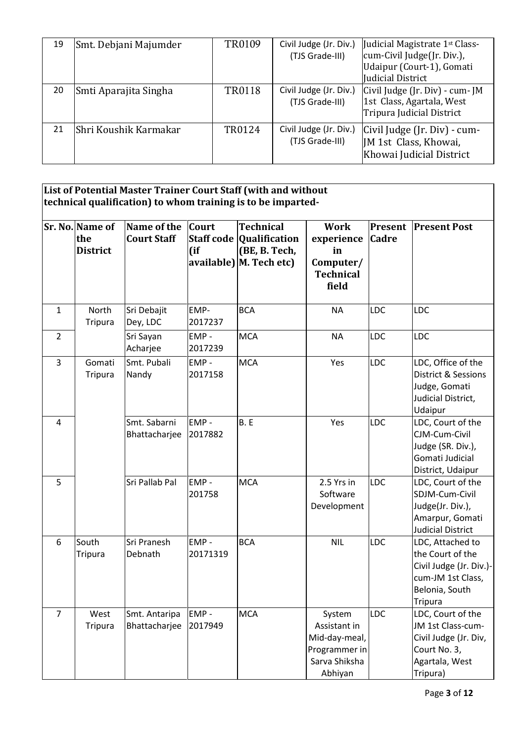| 19 | Smt. Debjani Majumder  | TR0109 | Civil Judge (Jr. Div.)<br>(TJS Grade-III) | Judicial Magistrate 1st Class-<br>cum-Civil Judge(Jr. Div.),<br>Udaipur (Court-1), Gomati<br>Judicial District |
|----|------------------------|--------|-------------------------------------------|----------------------------------------------------------------------------------------------------------------|
| 20 | Smti Aparajita Singha  | TR0118 | Civil Judge (Jr. Div.)<br>(TJS Grade-III) | Civil Judge (Jr. Div) - cum- JM<br>1st Class, Agartala, West<br>Tripura Judicial District                      |
| 21 | lShri Koushik Karmakar | TR0124 | Civil Judge (Jr. Div.)<br>(TJS Grade-III) | Civil Judge (Jr. Div) - cum-<br>JM 1st Class, Khowai,<br>Khowai Judicial District                              |

**List of Potential Master Trainer Court Staff (with and without technical qualification) to whom training is to be imparted-**

|                | Sr. No. Name of<br>the<br><b>District</b> | Name of the<br><b>Court Staff</b> | <b>Court</b><br>$($ if | <b>Technical</b><br><b>Staff code Qualification</b><br>(BE, B. Tech,<br>$available)$ M. Tech etc) | <b>Work</b><br>experience<br>in<br>Computer/<br><b>Technical</b><br>field            | <b>Cadre</b> | <b>Present Present Post</b>                                                                                              |
|----------------|-------------------------------------------|-----------------------------------|------------------------|---------------------------------------------------------------------------------------------------|--------------------------------------------------------------------------------------|--------------|--------------------------------------------------------------------------------------------------------------------------|
| $\mathbf{1}$   | North<br>Tripura                          | Sri Debajit<br>Dey, LDC           | EMP-<br>2017237        | <b>BCA</b>                                                                                        | <b>NA</b>                                                                            | <b>LDC</b>   | <b>LDC</b>                                                                                                               |
| $\overline{2}$ |                                           | Sri Sayan<br>Acharjee             | EMP-<br>2017239        | <b>MCA</b>                                                                                        | <b>NA</b>                                                                            | <b>LDC</b>   | <b>LDC</b>                                                                                                               |
| 3              | Gomati<br>Tripura                         | Smt. Pubali<br>Nandy              | EMP-<br>2017158        | <b>MCA</b>                                                                                        | Yes                                                                                  | <b>LDC</b>   | LDC, Office of the<br>District & Sessions<br>Judge, Gomati<br>Judicial District,<br>Udaipur                              |
| $\overline{4}$ |                                           | Smt. Sabarni<br>Bhattacharjee     | EMP-<br>2017882        | B.E                                                                                               | Yes                                                                                  | LDC          | LDC, Court of the<br>CJM-Cum-Civil<br>Judge (SR. Div.),<br>Gomati Judicial<br>District, Udaipur                          |
| 5              |                                           | Sri Pallab Pal                    | EMP-<br>201758         | <b>MCA</b>                                                                                        | 2.5 Yrs in<br>Software<br>Development                                                | <b>LDC</b>   | LDC, Court of the<br>SDJM-Cum-Civil<br>Judge(Jr. Div.),<br>Amarpur, Gomati<br><b>Judicial District</b>                   |
| 6              | South<br><b>Tripura</b>                   | Sri Pranesh<br>Debnath            | EMP-<br>20171319       | <b>BCA</b>                                                                                        | <b>NIL</b>                                                                           | <b>LDC</b>   | LDC, Attached to<br>the Court of the<br>Civil Judge (Jr. Div.)-<br>cum-JM 1st Class,<br>Belonia, South<br><b>Tripura</b> |
| 7              | West<br><b>Tripura</b>                    | Smt. Antaripa<br>Bhattacharjee    | EMP-<br>2017949        | <b>MCA</b>                                                                                        | System<br>Assistant in<br>Mid-day-meal,<br>Programmer in<br>Sarva Shiksha<br>Abhiyan | LDC          | LDC, Court of the<br>JM 1st Class-cum-<br>Civil Judge (Jr. Div,<br>Court No. 3,<br>Agartala, West<br>Tripura)            |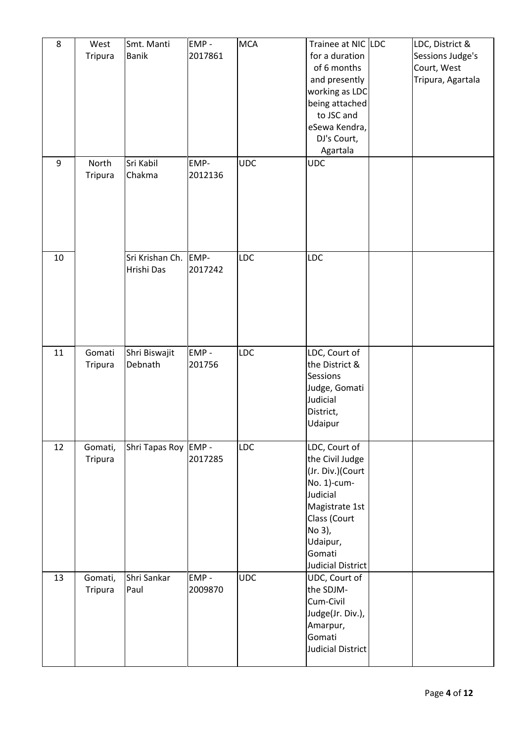| 8  | West<br>Tripura    | Smt. Manti<br><b>Banik</b>    | EMP-<br>2017861 | <b>MCA</b> | Trainee at NIC LDC<br>for a duration<br>of 6 months<br>and presently<br>working as LDC<br>being attached<br>to JSC and<br>eSewa Kendra,<br>DJ's Court,<br>Agartala            | LDC, District &<br>Sessions Judge's<br>Court, West<br>Tripura, Agartala |
|----|--------------------|-------------------------------|-----------------|------------|-------------------------------------------------------------------------------------------------------------------------------------------------------------------------------|-------------------------------------------------------------------------|
| 9  | North<br>Tripura   | Sri Kabil<br>Chakma           | EMP-<br>2012136 | <b>UDC</b> | <b>UDC</b>                                                                                                                                                                    |                                                                         |
| 10 |                    | Sri Krishan Ch.<br>Hrishi Das | EMP-<br>2017242 | <b>LDC</b> | <b>LDC</b>                                                                                                                                                                    |                                                                         |
| 11 | Gomati<br>Tripura  | Shri Biswajit<br>Debnath      | EMP-<br>201756  | <b>LDC</b> | LDC, Court of<br>the District &<br>Sessions<br>Judge, Gomati<br>Judicial<br>District,<br>Udaipur                                                                              |                                                                         |
| 12 | Gomati,<br>Tripura | Shri Tapas Roy EMP -          | 2017285         | <b>LDC</b> | LDC, Court of<br>the Civil Judge<br>(Jr. Div.)(Court<br>No. 1)-cum-<br>Judicial<br>Magistrate 1st<br>Class (Court<br>No 3),<br>Udaipur,<br>Gomati<br><b>Judicial District</b> |                                                                         |
| 13 | Gomati,<br>Tripura | Shri Sankar<br>Paul           | EMP-<br>2009870 | <b>UDC</b> | UDC, Court of<br>the SDJM-<br>Cum-Civil<br>Judge(Jr. Div.),<br>Amarpur,<br>Gomati<br><b>Judicial District</b>                                                                 |                                                                         |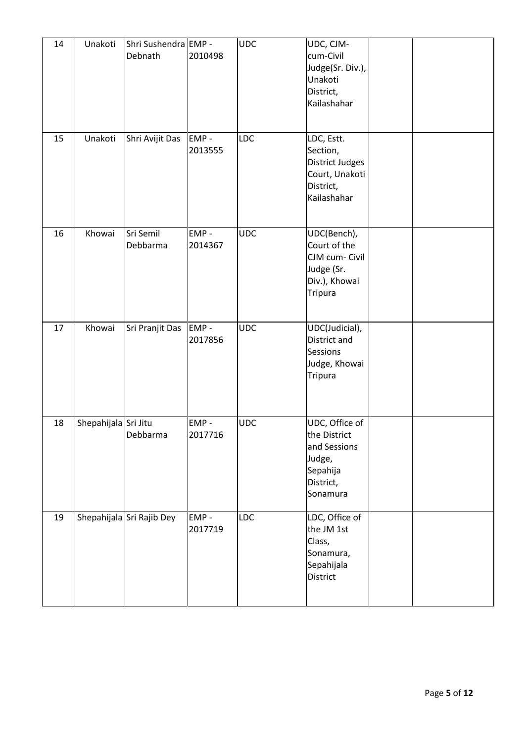| 14 | Unakoti              | Shri Sushendra EMP -<br>Debnath | 2010498         | <b>UDC</b> | UDC, CJM-<br>cum-Civil<br>Judge(Sr. Div.),<br>Unakoti<br>District,<br>Kailashahar             |  |
|----|----------------------|---------------------------------|-----------------|------------|-----------------------------------------------------------------------------------------------|--|
| 15 | Unakoti              | Shri Avijit Das                 | EMP-<br>2013555 | LDC        | LDC, Estt.<br>Section,<br>District Judges<br>Court, Unakoti<br>District,<br>Kailashahar       |  |
| 16 | Khowai               | Sri Semil<br>Debbarma           | EMP-<br>2014367 | <b>UDC</b> | UDC(Bench),<br>Court of the<br>CJM cum- Civil<br>Judge (Sr.<br>Div.), Khowai<br>Tripura       |  |
| 17 | Khowai               | Sri Pranjit Das                 | EMP-<br>2017856 | <b>UDC</b> | UDC(Judicial),<br>District and<br>Sessions<br>Judge, Khowai<br>Tripura                        |  |
| 18 | Shepahijala Sri Jitu | Debbarma                        | EMP-<br>2017716 | <b>UDC</b> | UDC, Office of<br>the District<br>and Sessions<br>Judge,<br>Sepahija<br>District,<br>Sonamura |  |
| 19 |                      | Shepahijala Sri Rajib Dey       | EMP-<br>2017719 | <b>LDC</b> | LDC, Office of<br>the JM 1st<br>Class,<br>Sonamura,<br>Sepahijala<br>District                 |  |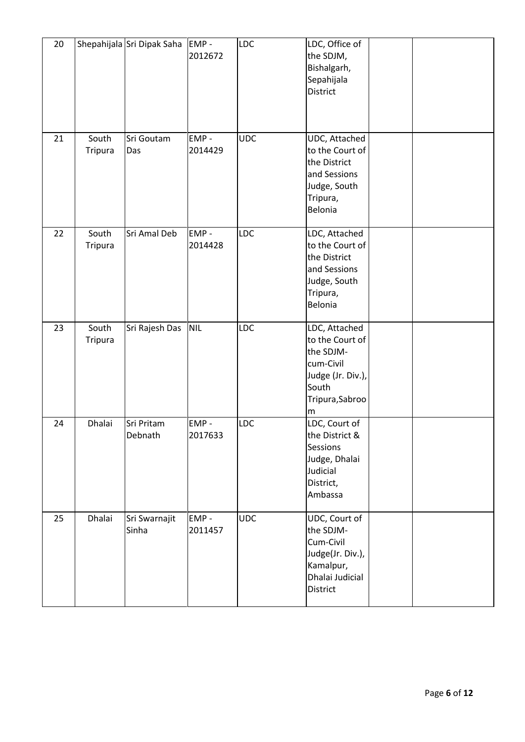| 20 |                  | Shepahijala Sri Dipak Saha | EMP-<br>2012672 | <b>LDC</b> | LDC, Office of<br>the SDJM,<br>Bishalgarh,<br>Sepahijala<br>District                                             |  |
|----|------------------|----------------------------|-----------------|------------|------------------------------------------------------------------------------------------------------------------|--|
| 21 | South<br>Tripura | Sri Goutam<br>Das          | EMP-<br>2014429 | <b>UDC</b> | UDC, Attached<br>to the Court of<br>the District<br>and Sessions<br>Judge, South<br>Tripura,<br>Belonia          |  |
| 22 | South<br>Tripura | Sri Amal Deb               | EMP-<br>2014428 | LDC        | LDC, Attached<br>to the Court of<br>the District<br>and Sessions<br>Judge, South<br>Tripura,<br>Belonia          |  |
| 23 | South<br>Tripura | Sri Rajesh Das             | <b>NIL</b>      | <b>LDC</b> | LDC, Attached<br>to the Court of<br>the SDJM-<br>cum-Civil<br>Judge (Jr. Div.),<br>South<br>Tripura, Sabroo<br>m |  |
| 24 | Dhalai           | Sri Pritam<br>Debnath      | EMP-<br>2017633 | <b>LDC</b> | LDC, Court of<br>the District &<br><b>Sessions</b><br>Judge, Dhalai<br>Judicial<br>District,<br>Ambassa          |  |
| 25 | Dhalai           | Sri Swarnajit<br>Sinha     | EMP-<br>2011457 | <b>UDC</b> | UDC, Court of<br>the SDJM-<br>Cum-Civil<br>Judge(Jr. Div.),<br>Kamalpur,<br>Dhalai Judicial<br>District          |  |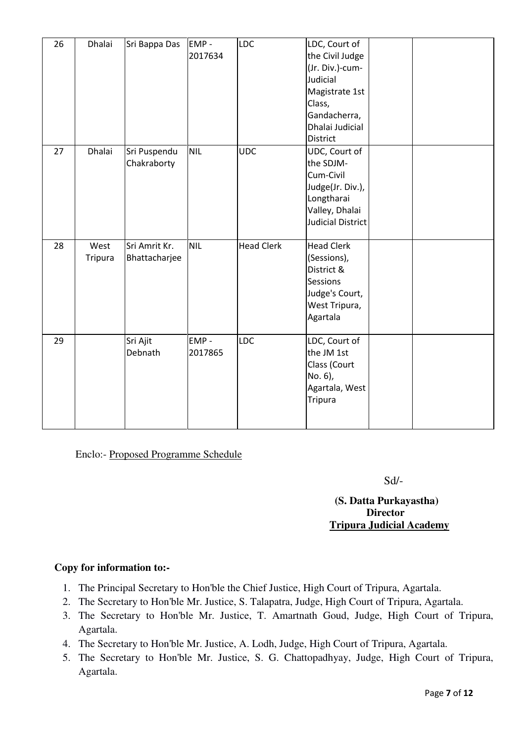| 26 | Dhalai          | Sri Bappa Das                  | EMP-<br>2017634 | <b>LDC</b>        | LDC, Court of<br>the Civil Judge<br>(Jr. Div.)-cum-<br>Judicial<br>Magistrate 1st<br>Class,<br>Gandacherra,<br>Dhalai Judicial<br>District |  |
|----|-----------------|--------------------------------|-----------------|-------------------|--------------------------------------------------------------------------------------------------------------------------------------------|--|
| 27 | Dhalai          | Sri Puspendu<br>Chakraborty    | <b>NIL</b>      | <b>UDC</b>        | UDC, Court of<br>the SDJM-<br>Cum-Civil<br>Judge(Jr. Div.),<br>Longtharai<br>Valley, Dhalai<br><b>Judicial District</b>                    |  |
| 28 | West<br>Tripura | Sri Amrit Kr.<br>Bhattacharjee | <b>NIL</b>      | <b>Head Clerk</b> | <b>Head Clerk</b><br>(Sessions),<br>District &<br>Sessions<br>Judge's Court,<br>West Tripura,<br>Agartala                                  |  |
| 29 |                 | Sri Ajit<br>Debnath            | EMP-<br>2017865 | <b>LDC</b>        | LDC, Court of<br>the JM 1st<br>Class (Court<br>No. 6),<br>Agartala, West<br>Tripura                                                        |  |

Enclo:- Proposed Programme Schedule

Sd/-

### **(S. Datta Purkayastha) Director Tripura Judicial Academy**

## **Copy for information to:-**

- 1. The Principal Secretary to Hon'ble the Chief Justice, High Court of Tripura, Agartala.
- 2. The Secretary to Hon'ble Mr. Justice, S. Talapatra, Judge, High Court of Tripura, Agartala.
- 3. The Secretary to Hon'ble Mr. Justice, T. Amartnath Goud, Judge, High Court of Tripura, Agartala.
- 4. The Secretary to Hon'ble Mr. Justice, A. Lodh, Judge, High Court of Tripura, Agartala.
- 5. The Secretary to Hon'ble Mr. Justice, S. G. Chattopadhyay, Judge, High Court of Tripura, Agartala.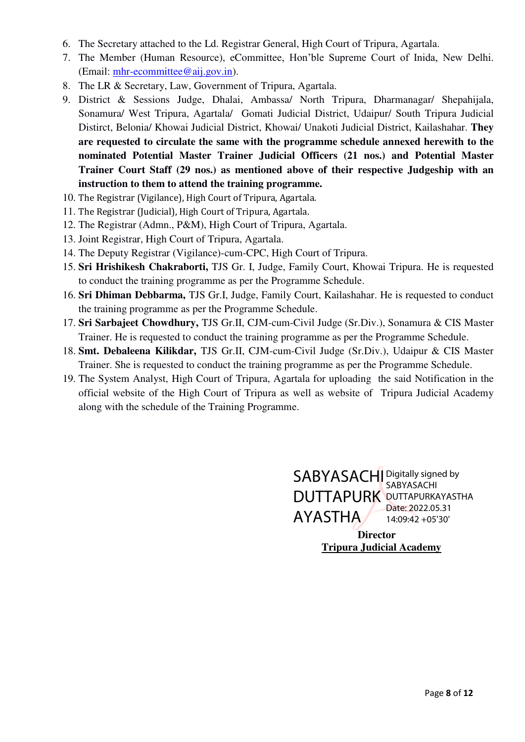- 6. The Secretary attached to the Ld. Registrar General, High Court of Tripura, Agartala.
- 7. The Member (Human Resource), eCommittee, Hon'ble Supreme Court of Inida, New Delhi. (Email: [mhr-ecommittee@aij.gov.in\)](mailto:mhr-ecommittee@aij.gov.in).
- 8. The LR & Secretary, Law, Government of Tripura, Agartala.
- 9. District & Sessions Judge, Dhalai, Ambassa/ North Tripura, Dharmanagar/ Shepahijala, Sonamura/ West Tripura, Agartala/ Gomati Judicial District, Udaipur/ South Tripura Judicial Distirct, Belonia/ Khowai Judicial District, Khowai/ Unakoti Judicial District, Kailashahar. **They are requested to circulate the same with the programme schedule annexed herewith to the nominated Potential Master Trainer Judicial Officers (21 nos.) and Potential Master Trainer Court Staff (29 nos.) as mentioned above of their respective Judgeship with an instruction to them to attend the training programme.**
- 10. The Registrar (Vigilance), High Court of Tripura, Agartala.
- 11. The Registrar (Judicial), High Court of Tripura, Agartala.
- 12. The Registrar (Admn., P&M), High Court of Tripura, Agartala.
- 13. Joint Registrar, High Court of Tripura, Agartala.
- 14. The Deputy Registrar (Vigilance)-cum-CPC, High Court of Tripura.
- 15. **Sri Hrishikesh Chakraborti,** TJS Gr. I, Judge, Family Court, Khowai Tripura. He is requested to conduct the training programme as per the Programme Schedule.
- 16. **Sri Dhiman Debbarma,** TJS Gr.I, Judge, Family Court, Kailashahar. He is requested to conduct the training programme as per the Programme Schedule.
- 17. **Sri Sarbajeet Chowdhury,** TJS Gr.II, CJM-cum-Civil Judge (Sr.Div.), Sonamura & CIS Master Trainer. He is requested to conduct the training programme as per the Programme Schedule.
- 18. **Smt. Debaleena Kilikdar,** TJS Gr.II, CJM-cum-Civil Judge (Sr.Div.), Udaipur & CIS Master Trainer. She is requested to conduct the training programme as per the Programme Schedule.
- 19. The System Analyst, High Court of Tripura, Agartala for uploading the said Notification in the official website of the High Court of Tripura as well as website of Tripura Judicial Academy along with the schedule of the Training Programme.

 AYASTHA  **Director Tripura Judicial Academy** SABYASACHI Digitally signed by DUTTAPURK DUTTAPURKAYASTHA SABYASACHI Date: 2022.05.31 14:09:42 +05'30'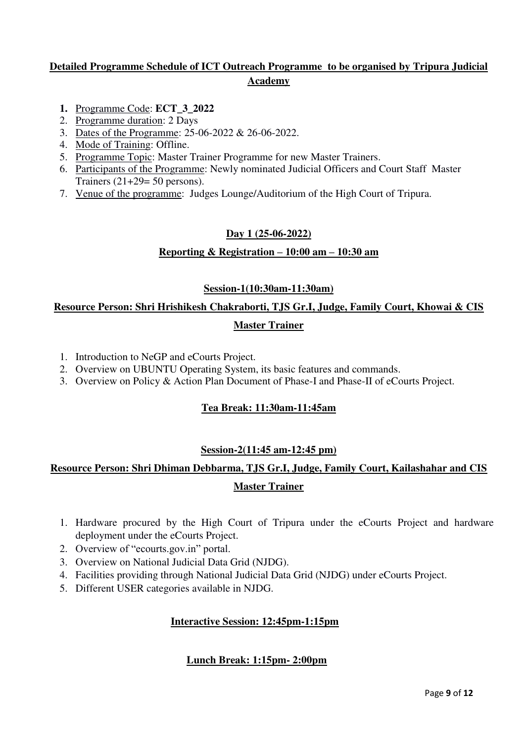## **Detailed Programme Schedule of ICT Outreach Programme to be organised by Tripura Judicial Academy**

- **1.** Programme Code: **ECT\_3\_2022**
- 2. Programme duration: 2 Days
- 3. Dates of the Programme: 25-06-2022 & 26-06-2022.
- 4. Mode of Training: Offline.
- 5. Programme Topic: Master Trainer Programme for new Master Trainers.
- 6. Participants of the Programme: Newly nominated Judicial Officers and Court Staff Master Trainers  $(21+29=50$  persons).
- 7. Venue of the programme: Judges Lounge/Auditorium of the High Court of Tripura.

#### **Day 1 (25-06-2022)**

#### **Reporting & Registration – 10:00 am – 10:30 am**

#### **Session-1(10:30am-11:30am)**

## **Resource Person: Shri Hrishikesh Chakraborti, TJS Gr.I, Judge, Family Court, Khowai & CIS Master Trainer**

- 1. Introduction to NeGP and eCourts Project.
- 2. Overview on UBUNTU Operating System, its basic features and commands.
- 3. Overview on Policy & Action Plan Document of Phase-I and Phase-II of eCourts Project.

#### **Tea Break: 11:30am-11:45am**

#### **Session-2(11:45 am-12:45 pm)**

## **Resource Person: Shri Dhiman Debbarma, TJS Gr.I, Judge, Family Court, Kailashahar and CIS Master Trainer**

- 1. Hardware procured by the High Court of Tripura under the eCourts Project and hardware deployment under the eCourts Project.
- 2. Overview of "ecourts.gov.in" portal.
- 3. Overview on National Judicial Data Grid (NJDG).
- 4. Facilities providing through National Judicial Data Grid (NJDG) under eCourts Project.
- 5. Different USER categories available in NJDG.

#### **Interactive Session: 12:45pm-1:15pm**

#### **Lunch Break: 1:15pm- 2:00pm**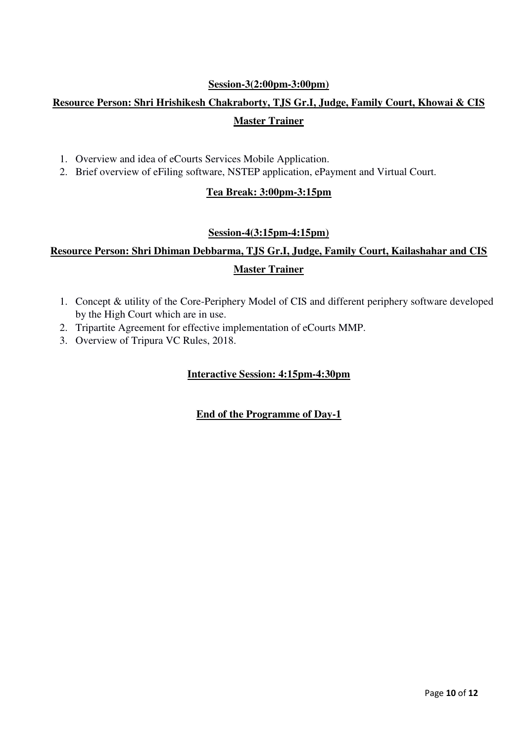#### **Session-3(2:00pm-3:00pm)**

# **Resource Person: Shri Hrishikesh Chakraborty, TJS Gr.I, Judge, Family Court, Khowai & CIS Master Trainer**

- 1. Overview and idea of eCourts Services Mobile Application.
- 2. Brief overview of eFiling software, NSTEP application, ePayment and Virtual Court.

#### **Tea Break: 3:00pm-3:15pm**

#### **Session-4(3:15pm-4:15pm)**

# **Resource Person: Shri Dhiman Debbarma, TJS Gr.I, Judge, Family Court, Kailashahar and CIS Master Trainer**

- 1. Concept & utility of the Core-Periphery Model of CIS and different periphery software developed by the High Court which are in use.
- 2. Tripartite Agreement for effective implementation of eCourts MMP.
- 3. Overview of Tripura VC Rules, 2018.

#### **Interactive Session: 4:15pm-4:30pm**

#### **End of the Programme of Day-1**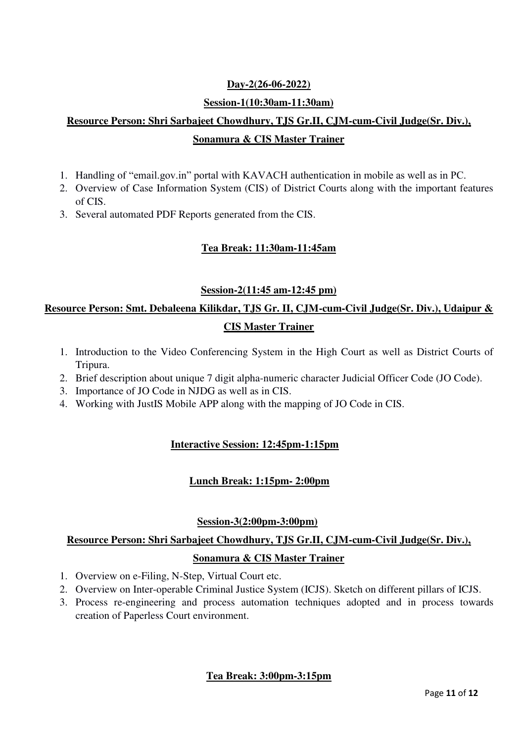## **Day-2(26-06-2022)**

#### **Session-1(10:30am-11:30am)**

# **Resource Person: Shri Sarbajeet Chowdhury, TJS Gr.II, CJM-cum-Civil Judge(Sr. Div.), Sonamura & CIS Master Trainer**

- 1. Handling of "email.gov.in" portal with KAVACH authentication in mobile as well as in PC.
- 2. Overview of Case Information System (CIS) of District Courts along with the important features of CIS.
- 3. Several automated PDF Reports generated from the CIS.

#### **Tea Break: 11:30am-11:45am**

#### **Session-2(11:45 am-12:45 pm)**

## **Resource Person: Smt. Debaleena Kilikdar, TJS Gr. II, CJM-cum-Civil Judge(Sr. Div.), Udaipur & CIS Master Trainer**

- 1. Introduction to the Video Conferencing System in the High Court as well as District Courts of Tripura.
- 2. Brief description about unique 7 digit alpha-numeric character Judicial Officer Code (JO Code).
- 3. Importance of JO Code in NJDG as well as in CIS.
- 4. Working with JustIS Mobile APP along with the mapping of JO Code in CIS.

#### **Interactive Session: 12:45pm-1:15pm**

#### **Lunch Break: 1:15pm- 2:00pm**

#### **Session-3(2:00pm-3:00pm)**

## **Resource Person: Shri Sarbajeet Chowdhury, TJS Gr.II, CJM-cum-Civil Judge(Sr. Div.), Sonamura & CIS Master Trainer**

- 1. Overview on e-Filing, N-Step, Virtual Court etc.
- 2. Overview on Inter-operable Criminal Justice System (ICJS). Sketch on different pillars of ICJS.
- 3. Process re-engineering and process automation techniques adopted and in process towards creation of Paperless Court environment.

#### **Tea Break: 3:00pm-3:15pm**